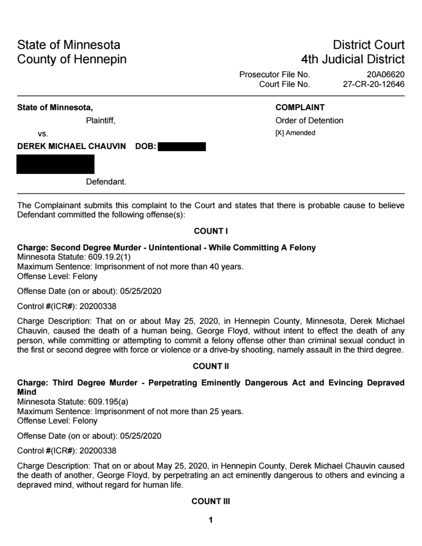# State of Minnesota County of Hennepin

# **District Court** 4th Judicial District

Prosecutor File No. 20A06620 Court File No. 27-CR-20-12646

## State of Minnesota,

Plaintiff.

VS.

**DEREK MICHAEL CHAUVIN** DOB:

Defendant.

# **COMPLAINT**

**Order of Detention** [X] Amended

The Complainant submits this complaint to the Court and states that there is probable cause to believe Defendant committed the following offense(s):

# **COUNT I**

Charge: Second Degree Murder - Unintentional - While Committing A Felony Minnesota Statute: 609.19.2(1) Maximum Sentence: Imprisonment of not more than 40 years. Offense Level: Felony

Offense Date (on or about): 05/25/2020

Control #(ICR#): 20200338

Charge Description: That on or about May 25, 2020, in Hennepin County, Minnesota, Derek Michael Chauvin, caused the death of a human being, George Floyd, without intent to effect the death of any person, while committing or attempting to commit a felony offense other than criminal sexual conduct in the first or second degree with force or violence or a drive-by shooting, namely assault in the third degree.

# **COUNT II**

## Charge: Third Degree Murder - Perpetrating Eminently Dangerous Act and Evincing Depraved Mind

Minnesota Statute: 609.195(a)

Maximum Sentence: Imprisonment of not more than 25 years. Offense Level: Felony

Offense Date (on or about): 05/25/2020

Control #(ICR#): 20200338

Charge Description: That on or about May 25, 2020, in Hennepin County, Derek Michael Chauvin caused the death of another, George Floyd, by perpetrating an act eminently dangerous to others and evincing a depraved mind, without regard for human life.

**COUNT III** 

1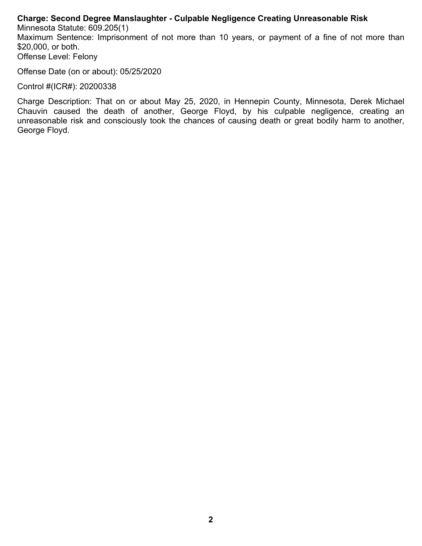#### **Charge: Second Degree Manslaughter - Culpable Negligence Creating Unreasonable Risk**

Minnesota Statute: 609.205(1) Maximum Sentence: Imprisonment of not more than 10 years, or payment of a fine of not more than \$20,000, or both. Offense Level: Felony

Offense Date (on or about): 05/25/2020

Control #(ICR#): 20200338

Charge Description: That on or about May 25, 2020, in Hennepin County, Minnesota, Derek Michael Chauvin caused the death of another, George Floyd, by his culpable negligence, creating an unreasonable risk and consciously took the chances of causing death or great bodily harm to another, George Floyd.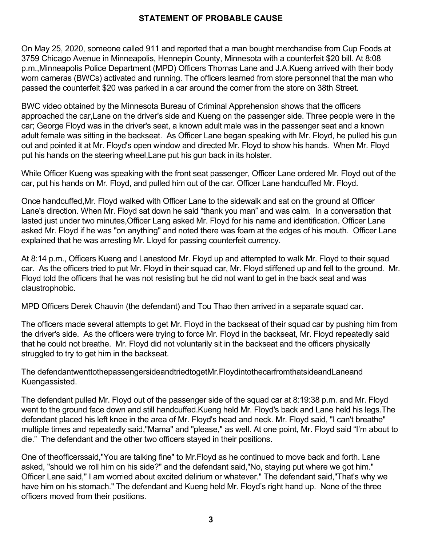#### **STATEMENT OF PROBABLE CAUSE**

On May 25, 2020, someone called 911 and reported that a man bought merchandise from Cup Foods at 3759 Chicago Avenue in Minneapolis, Hennepin County, Minnesota with a counterfeit \$20 bill. At 8:08 p.m.,Minneapolis Police Department (MPD) Officers Thomas Lane and J.A.Kueng arrived with their body worn cameras (BWCs) activated and running. The officers learned from store personnel that the man who passed the counterfeit \$20 was parked in a car around the corner from the store on 38th Street.

BWC video obtained by the Minnesota Bureau of Criminal Apprehension shows that the officers approached the car,Lane on the driver's side and Kueng on the passenger side. Three people were in the car; George Floyd was in the driver's seat, a known adult male was in the passenger seat and a known adult female was sitting in the backseat. As Officer Lane began speaking with Mr. Floyd, he pulled his gun out and pointed it at Mr. Floyd's open window and directed Mr. Floyd to show his hands. When Mr. Floyd put his hands on the steering wheel,Lane put his gun back in its holster.

While Officer Kueng was speaking with the front seat passenger, Officer Lane ordered Mr. Floyd out of the car, put his hands on Mr. Floyd, and pulled him out of the car. Officer Lane handcuffed Mr. Floyd.

Once handcuffed,Mr. Floyd walked with Officer Lane to the sidewalk and sat on the ground at Officer Lane's direction. When Mr. Floyd sat down he said "thank you man" and was calm. In a conversation that lasted just under two minutes,Officer Lang asked Mr. Floyd for his name and identification. Officer Lane asked Mr. Floyd if he was "on anything" and noted there was foam at the edges of his mouth. Officer Lane explained that he was arresting Mr. Lloyd for passing counterfeit currency.

At 8:14 p.m., Officers Kueng and Lanestood Mr. Floyd up and attempted to walk Mr. Floyd to their squad car. As the officers tried to put Mr. Floyd in their squad car, Mr. Floyd stiffened up and fell to the ground. Mr. Floyd told the officers that he was not resisting but he did not want to get in the back seat and was claustrophobic.

MPD Officers Derek Chauvin (the defendant) and Tou Thao then arrived in a separate squad car.

The officers made several attempts to get Mr. Floyd in the backseat of their squad car by pushing him from the driver's side. As the officers were trying to force Mr. Floyd in the backseat, Mr. Floyd repeatedly said that he could not breathe. Mr. Floyd did not voluntarily sit in the backseat and the officers physically struggled to try to get him in the backseat.

The defendantwenttothepassengersideandtriedtogetMr.FloydintothecarfromthatsideandLaneand Kuengassisted.

The defendant pulled Mr. Floyd out of the passenger side of the squad car at 8:19:38 p.m. and Mr. Floyd went to the ground face down and still handcuffed.Kueng held Mr. Floyd's back and Lane held his legs.The defendant placed his left knee in the area of Mr. Floyd's head and neck. Mr. Floyd said, "I can't breathe" multiple times and repeatedly said,"Mama" and "please," as well. At one point, Mr. Floyd said "I'm about to die." The defendant and the other two officers stayed in their positions.

One of theofficerssaid,"You are talking fine" to Mr.Floyd as he continued to move back and forth. Lane asked, "should we roll him on his side?" and the defendant said,"No, staying put where we got him." Officer Lane said," I am worried about excited delirium or whatever." The defendant said,"That's why we have him on his stomach." The defendant and Kueng held Mr. Floyd's right hand up. None of the three officers moved from their positions.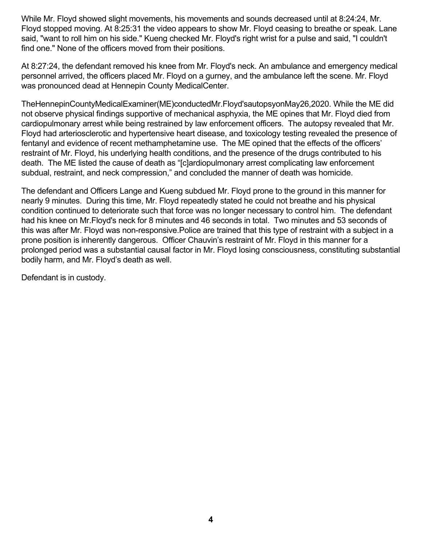While Mr. Floyd showed slight movements, his movements and sounds decreased until at 8:24:24, Mr. Floyd stopped moving. At 8:25:31 the video appears to show Mr. Floyd ceasing to breathe or speak. Lane said, "want to roll him on his side." Kueng checked Mr. Floyd's right wrist for a pulse and said, "I couldn't find one." None of the officers moved from their positions.

At 8:27:24, the defendant removed his knee from Mr. Floyd's neck. An ambulance and emergency medical personnel arrived, the officers placed Mr. Floyd on a gurney, and the ambulance left the scene. Mr. Floyd was pronounced dead at Hennepin County MedicalCenter.

TheHennepinCountyMedicalExaminer(ME)conductedMr.Floyd'sautopsyonMay26,2020. While the ME did not observe physical findings supportive of mechanical asphyxia, the ME opines that Mr. Floyd died from cardiopulmonary arrest while being restrained by law enforcement officers. The autopsy revealed that Mr. Floyd had arteriosclerotic and hypertensive heart disease, and toxicology testing revealed the presence of fentanyl and evidence of recent methamphetamine use. The ME opined that the effects of the officers' restraint of Mr. Floyd, his underlying health conditions, and the presence of the drugs contributed to his death. The ME listed the cause of death as "[c]ardiopulmonary arrest complicating law enforcement subdual, restraint, and neck compression," and concluded the manner of death was homicide.

The defendant and Officers Lange and Kueng subdued Mr. Floyd prone to the ground in this manner for nearly 9 minutes. During this time, Mr. Floyd repeatedly stated he could not breathe and his physical condition continued to deteriorate such that force was no longer necessary to control him. The defendant had his knee on Mr.Floyd's neck for 8 minutes and 46 seconds in total. Two minutes and 53 seconds of this was after Mr. Floyd was non-responsive.Police are trained that this type of restraint with a subject in a prone position is inherently dangerous. Officer Chauvin's restraint of Mr. Floyd in this manner for a prolonged period was a substantial causal factor in Mr. Floyd losing consciousness, constituting substantial bodily harm, and Mr. Floyd's death as well.

Defendant is in custody.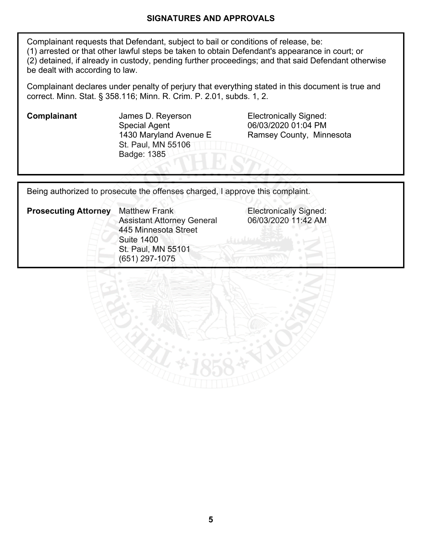#### **SIGNATURES AND APPROVALS**

Complainant requests that Defendant, subject to bail or conditions of release, be: (1) arrested or that other lawful steps be taken to obtain Defendant's appearance in court; or (2) detained, if already in custody, pending further proceedings; and that said Defendant otherwise be dealt with according to law.

Complainant declares under penalty of perjury that everything stated in this document is true and correct. Minn. Stat. § 358.116; Minn. R. Crim. P. 2.01, subds. 1, 2.

**Complainant** James D. Reyerson **Electronically Signed:** Special Agent 1430 Maryland Avenue E St. Paul, MN 55106 Badge: 1385

06/03/2020 01:04 PM Ramsey County, Minnesota

Being authorized to prosecute the offenses charged, I approve this complaint.

| <b>Prosecuting Attorney</b> | <b>Matthew Frank</b><br><b>Assistant Attorney General</b> |  |  |  |
|-----------------------------|-----------------------------------------------------------|--|--|--|
|                             | 445 Minnesota Street<br><b>Suite 1400</b>                 |  |  |  |
|                             | St. Paul, MN 55101<br>$(651)$ 297-1075                    |  |  |  |

**Electronically Signed:** 06/03/2020 11:42 AM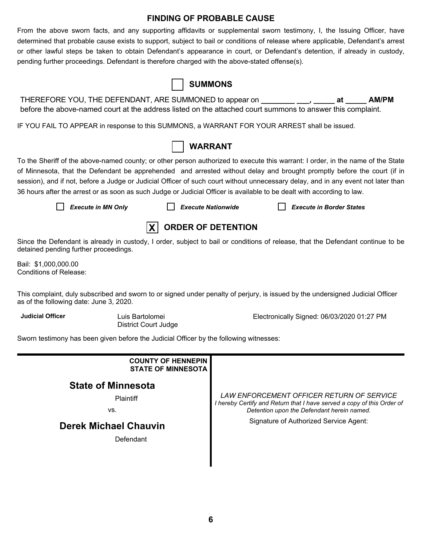#### **FINDING OF PROBABLE CAUSE**

From the above sworn facts, and any supporting affidavits or supplemental sworn testimony, I, the Issuing Officer, have determined that probable cause exists to support, subject to bail or conditions of release where applicable, Defendant's arrest or other lawful steps be taken to obtain Defendant's appearance in court, or Defendant's detention, if already in custody, pending further proceedings. Defendant is therefore charged with the above-stated offense(s).

|                                                                                                                                                                                                                                                                                                                                                                                                                                                                                                                           |                                                        | <b>SUMMONS</b>            |                                            |    |       |
|---------------------------------------------------------------------------------------------------------------------------------------------------------------------------------------------------------------------------------------------------------------------------------------------------------------------------------------------------------------------------------------------------------------------------------------------------------------------------------------------------------------------------|--------------------------------------------------------|---------------------------|--------------------------------------------|----|-------|
| THEREFORE YOU, THE DEFENDANT, ARE SUMMONED to appear on ________ ___, _____<br>before the above-named court at the address listed on the attached court summons to answer this complaint.                                                                                                                                                                                                                                                                                                                                 |                                                        |                           |                                            | at | AM/PM |
| IF YOU FAIL TO APPEAR in response to this SUMMONS, a WARRANT FOR YOUR ARREST shall be issued.                                                                                                                                                                                                                                                                                                                                                                                                                             |                                                        |                           |                                            |    |       |
|                                                                                                                                                                                                                                                                                                                                                                                                                                                                                                                           |                                                        | <b>WARRANT</b>            |                                            |    |       |
| To the Sheriff of the above-named county; or other person authorized to execute this warrant: I order, in the name of the State<br>of Minnesota, that the Defendant be apprehended and arrested without delay and brought promptly before the court (if in<br>session), and if not, before a Judge or Judicial Officer of such court without unnecessary delay, and in any event not later than<br>36 hours after the arrest or as soon as such Judge or Judicial Officer is available to be dealt with according to law. |                                                        |                           |                                            |    |       |
| <b>Execute in MN Only</b>                                                                                                                                                                                                                                                                                                                                                                                                                                                                                                 |                                                        | <b>Execute Nationwide</b> | <b>Execute in Border States</b>            |    |       |
|                                                                                                                                                                                                                                                                                                                                                                                                                                                                                                                           | X                                                      | <b>ORDER OF DETENTION</b> |                                            |    |       |
| Since the Defendant is already in custody, I order, subject to bail or conditions of release, that the Defendant continue to be<br>detained pending further proceedings.                                                                                                                                                                                                                                                                                                                                                  |                                                        |                           |                                            |    |       |
| Bail: \$1,000,000.00<br><b>Conditions of Release:</b>                                                                                                                                                                                                                                                                                                                                                                                                                                                                     |                                                        |                           |                                            |    |       |
| This complaint, duly subscribed and sworn to or signed under penalty of perjury, is issued by the undersigned Judicial Officer<br>as of the following date: June 3, 2020.                                                                                                                                                                                                                                                                                                                                                 |                                                        |                           |                                            |    |       |
| <b>Judicial Officer</b>                                                                                                                                                                                                                                                                                                                                                                                                                                                                                                   | Luis Bartolomei<br><b>District Court Judge</b>         |                           | Electronically Signed: 06/03/2020 01:27 PM |    |       |
| Sworn testimony has been given before the Judicial Officer by the following witnesses:                                                                                                                                                                                                                                                                                                                                                                                                                                    |                                                        |                           |                                            |    |       |
|                                                                                                                                                                                                                                                                                                                                                                                                                                                                                                                           | <b>COUNTY OF HENNEPIN</b><br><b>STATE OF MINNESOTA</b> |                           |                                            |    |       |

### **State of Minnesota**

**Plaintiff** 

vs.

## **Derek Michael Chauvin**

**Defendant** 

*LAW ENFORCEMENT OFFICER RETURN OF SERVICE I hereby Certify and Return that I have served a copy of this Order of Detention upon the Defendant herein named.*

Signature of Authorized Service Agent: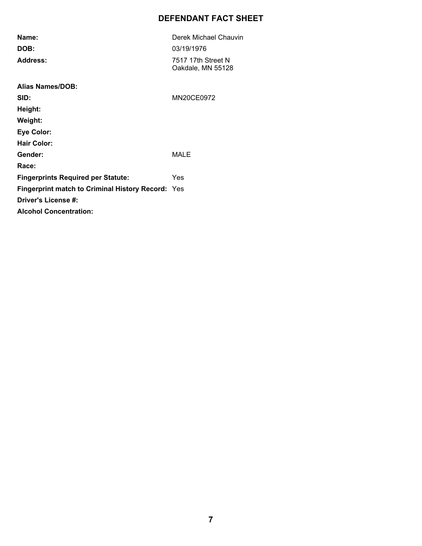### **DEFENDANT FACT SHEET**

| Name:                                                    | Derek Michael Chauvin                   |
|----------------------------------------------------------|-----------------------------------------|
| DOB:                                                     | 03/19/1976                              |
| <b>Address:</b>                                          | 7517 17th Street N<br>Oakdale, MN 55128 |
| Alias Names/DOB:                                         |                                         |
| SID:                                                     | MN20CE0972                              |
| Height:                                                  |                                         |
| Weight:                                                  |                                         |
| <b>Eye Color:</b>                                        |                                         |
| <b>Hair Color:</b>                                       |                                         |
| Gender:                                                  | MALE                                    |
| Race:                                                    |                                         |
| <b>Fingerprints Required per Statute:</b>                | Yes                                     |
| <b>Fingerprint match to Criminal History Record: Yes</b> |                                         |
| Driver's License #:                                      |                                         |
| <b>Alcohol Concentration:</b>                            |                                         |